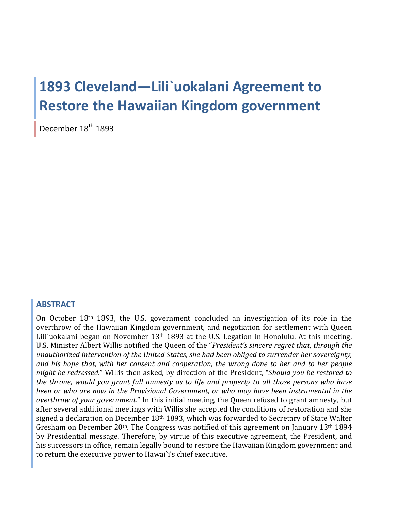# 1893 Cleveland-Lili`uokalani Agreement to **Restore the Hawaiian Kingdom government**

December 18<sup>th</sup> 1893

#### **ABSTRACT**

On October 18th 1893, the U.S. government concluded an investigation of its role in the overthrow of the Hawaiian Kingdom government, and negotiation for settlement with Queen Lili'uokalani began on November 13<sup>th</sup> 1893 at the U.S. Legation in Honolulu. At this meeting, U.S. Minister Albert Willis notified the Queen of the "President's sincere regret that, through the unauthorized intervention of the United States, she had been obliged to surrender her sovereignty, and his hope that, with her consent and cooperation, the wrong done to her and to her people might be redressed." Willis then asked, by direction of the President, "Should you be restored to the throne, would you grant full amnesty as to life and property to all those persons who have been or who are now in the Provisional Government, or who may have been instrumental in the overthrow of your government." In this initial meeting, the Queen refused to grant amnesty, but after several additional meetings with Willis she accepted the conditions of restoration and she signed a declaration on December 18th 1893, which was forwarded to Secretary of State Walter Gresham on December 20<sup>th</sup>. The Congress was notified of this agreement on January 13<sup>th</sup> 1894 by Presidential message. Therefore, by virtue of this executive agreement, the President, and his successors in office, remain legally bound to restore the Hawaiian Kingdom government and to return the executive power to Hawai'i's chief executive.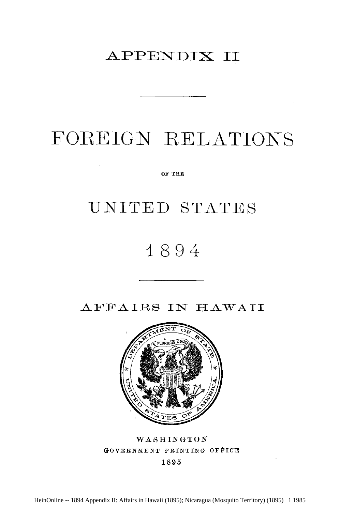### APPENDIX II

## FOREIGN **RELATIONS**

Or **THE**

### **UNITED STATES**

## 1894

AFFAIRS **IN** HAWAII



WASHINGTON GOVERNMENT PRINTING **OFFICE**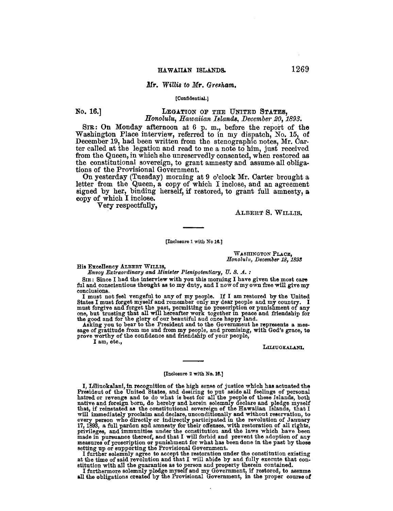#### Mr. Willis to Mr. Gresham.

#### [Confidential.]

No. 16.1

#### LEGATION OF THE UNITED STATES, Honolulu, Hawaiian Islands, December 20, 1893.

SIR: On Monday afternoon at 6 p.m., before the report of the Washington Place interview, referred to in my dispatch, No. 15, of December 19, had been written from the stenographic notes, Mr. Carter called at the legation and read to me a note to him, just received from the Queen, in which she unreservedly consented, when restored as the constitutional sovereign, to grant amnesty and assume all obligations of the Provisional Government.

On yesterday (Tuesday) morning at 9 o'clock Mr. Carter brought a letter from the Queen, a copy of which I inclose, and an agreement signed by her, binding herself, if restored, to grant full amnesty, a copy of which I inclose.

Very respectfully.

ALBERT S. WILLIS.

[Inclosure 1 with No 16.]

WASHINGTON PLACE. Honolulu, December 18, 1893

His Excellency ALBERT WILLIS,

Envoy Extraordinary and Minister Plenipotentiary, U.S. A.:

SIR: Since I had the interview with you this morning I have given the most care ful and conscientious thought as to my duty, and I now of my own free will give my conclusions.

I must not feel vengeful to any of my people. If I am restored by the United States I must forget myself and remember only my dear people and my country. I shares I must forgive and forget the past, permitting no proscription or punishment of any<br>one, but trusting that all will hereafter work together in peace and friendship for<br>one, but trusting that all will hereafter work

sage of gratitude from me and from my people, and promising, with God's grace, to prove worthy of the confidence and friendship of your people,

I am, etc.,

LILIUOKALANI.

#### [Inclosure 2 with No. 16.]

I, Liliuokalani, in recognition of the high sense of justice which has actuated the President of the United States, and desiring to put aside all feelings of personal hatred or revenge and to do what is best for all the people of these Islands, both native and foreign born, do hereby and herein solemnly declare and pledge myself have and lovely born, to be below and herein solelar that, if reinstated as the constitutional sovereign of the Hawaiian Islands, that I<br>will immediately proclaim and declare, unconditionally and without reservation, to<br>ev measures of proscription or punishment for what has been done in the past by those<br>setting up or supporting the Provisional Government.<br>I further solemnly agree to accept the restoration under the constitution existing<br>at

stitution with all the guaranties as to person and property therein contained.<br>I furthermore solemnly pledge myself and my Government, if restored, to assume

all the obligations created by the Provisional Government, in the proper course of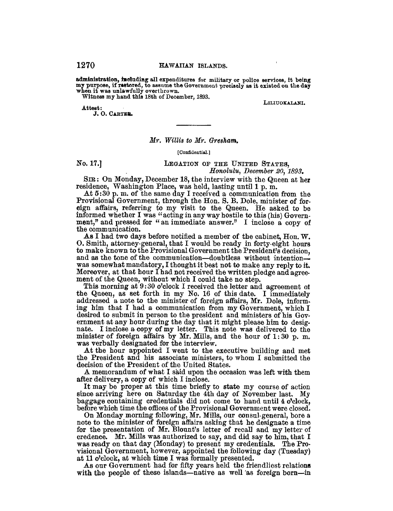administration, including all expenditures for military or police services, it being my purpose, if restored, to assume the Government precisely as it existed on the day when it was unlawfully overthrown.

Witness my hand this 18th of December, 1893.

Attest:

J. O. CARTER.

#### Mr. Willis to Mr. Gresham.

#### [Confidential.]

No. 17.1

LEGATION OF THE UNITED STATES. Honolulu, December 20, 1893.

SIR: On Monday, December 18, the interview with the Queen at her residence, Washington Place, was held, lasting until 1 p.m.

At 5:30 p.m. of the same day I received a communication from the Provisional Government, through the Hon. S. B. Dole, minister of foreign affairs, referring to my visit to the Queen. He asked to be informed whether I was "acting in any way hostile to this (his) Government," and pressed for "an immediate answer." I inclose a copy of the communication.

As I had two days before notified a member of the cabinet, Hon.  $W$ . O. Smith, attorney-general, that I would be ready in forty-eight hours to make known to the Provisional Government the President's decision, and as the tone of the communication-doubtless without intentionwas somewhat mandatory, I thought it best not to make any reply to it. Moreover, at that hour I had not received the written pledge and agreement of the Queen, without which I could take no step.

This morning at 9:30 o'clock I received the letter and agreement of the Queen, as set forth in my No. 16 of this date. I immediately addressed a note to the minister of foreign affairs, Mr. Dole, informing him that I had a communication from my Government, which I desired to submit in person to the president and ministers of his Government at any hour during the day that it might please him to designate. I inclose a copy of my letter. This note was delivered to the minister of foreign affairs by Mr. Mills, and the hour of 1:30 p.m. was verbally designated for the interview.

At the hour appointed I went to the executive building and met the President and his associate ministers, to whom I submitted the decision of the President of the United States.

A memorandum of what I said upon the occasion was left with them after delivery, a copy of which I inclose.

It may be proper at this time briefly to state my course of action since arriving here on Saturday the 4th day of November last. My baggage containing credentials did not come to hand until 4 o'clock, before which time the offices of the Provisional Government were closed.

On Monday morning following, Mr. Mills, our consul-general, bore a note to the minister of foreign affairs asking that he designate a time for the presentation of Mr. Blount's letter of recall and my letter of credence. Mr. Mills was authorized to say, and did say to him, that I was ready on that day (Monday) to present my credentials. The Provisional Government, however, appointed the following day (Tuesday) at 11 o'clock, at which time I was formally presented.

As our Government had for fifty years held the friendliest relations with the people of these islands—native as well as foreign born—in

1270

LILIUOKALANI.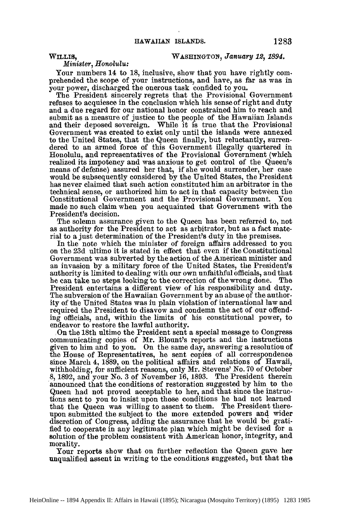WILLIS, WASHINGTON, *January 12*, 1894.

*Minister, Honolulu:*

Your numbers 14 to 18, inclusive, show that you have rightly comprehended the scope of your instructions, and have, as far as was in your power, discharged the onerous task confided to you.

The President sincerely regrets that the Provisional Government refuses to acquiesce in the conclusion which his sense of right and duty and a due regard for our national honor constrained him to reach and submit as a measure of justice to the people of the Hawaiian Islands and their deposed sovereign. While it is true that the Provisional Government was created to exist only until the islands were annexed to the United States, that the Queen finally, but reluctantly, surrendered to an armed force of this Government illegally quartered in Honolulu, and representatives of the Provisional Government (which realized its impotency and was anxious to get control of the Queen's means of defense) assured her that, if she would surrender, her case would be subsequently considered by the United States, the President has never claimed that such action constituted him an arbitrator in the technical sense, or authorized him to act in that capacity between the Constitutional Government and the Provisional Government. You made no such claim when you acquainted that Government with the President's decision.

The solemn assurance given to the Queen has been referred to, not as authority for the President to act as arbitrator, but as a fact material to a just determination of the President's duty in the premises.

In the note which the minister of foreign affairs addressed to you on the 23d ultimo it is stated in effect that even if the Constitutional Government was subverted by the action of the American minister and an invasion by a military force of the United States, the President's authority is limited to dealing with our own unfaithful officials, and that he can take no steps looking to the correction of the wrong done. The President entertains a different view of his responsibility and duty. The subversion of the Hawaiian Government by an abuse **of** the authority of the United States was in plain violation of international law and required the President to disavow and condemn the act of our offending officials, and, within the limits of his constitutional power, to endeavor to restore the lawful authority.

,On the 18th ultimo the President sent a special message to Congress communicating copies of Mr. Blount's reports and the instructions given to him and to you. On the same day, answering a resolution of the House of Representatives, he sent copies of all correspondence since March 4, 1889, on the political affairs and relations of Hawaii, withholding, for sufficient reasons, only Mr. Stevens' No. 70 of October 8, 1892, and your No. 3 of November 16, 1893. The President therein announced that the conditions of restoration suggested by him to the Queen had not proved acceptable to her, and that since the instructions sent to you to insist upon those conditions he had not learned that the Queen was willing to assent to them. The President thereupon submitted the subject to the more extended powers and wider discretion of Cougress, adding the assurance that he would be grati**fied** to cooperate in any legitimate plan which might be devised for a solution of the problem consistent with American honor, integrity, and morality.

Your reports show that on further reflection the Queen gave her unqualified assent in writing to the conditions suggested, but that the